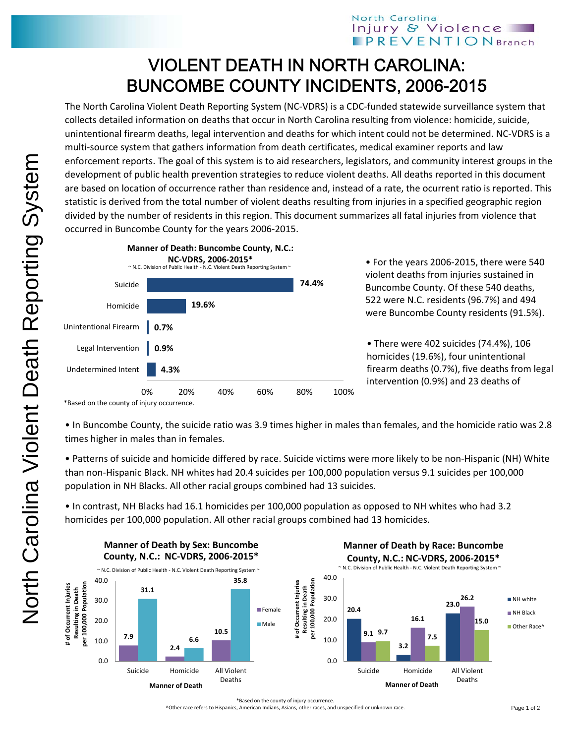## North Carolina Injury & Violence **PREVENTIONBranch**

## VIOLENT DEATH IN NORTH CAROLINA: BUNCOMBE COUNTY INCIDENTS, 2006-2015

The North Carolina Violent Death Reporting System (NC‐VDRS) is a CDC‐funded statewide surveillance system that collects detailed information on deaths that occur in North Carolina resulting from violence: homicide, suicide, unintentional firearm deaths, legal intervention and deaths for which intent could not be determined. NC‐VDRS is a multi-source system that gathers information from death certificates, medical examiner reports and law enforcement reports. The goal of this system is to aid researchers, legislators, and community interest groups in the development of public health prevention strategies to reduce violent deaths. All deaths reported in this document are based on location of occurrence rather than residence and, instead of a rate, the ocurrent ratio is reported. This statistic is derived from the total number of violent deaths resulting from injuries in a specified geographic region divided by the number of residents in this region. This document summarizes all fatal injuries from violence that occurred in Buncombe County for the years 2006‐2015.



• For the years 2006‐2015, there were 540 violent deaths from injuries sustained in Buncombe County. Of these 540 deaths, 522 were N.C. residents (96.7%) and 494 were Buncombe County residents (91.5%).

• There were 402 suicides (74.4%), 106 homicides (19.6%), four unintentional firearm deaths (0.7%), five deaths from legal intervention (0.9%) and 23 deaths of

\*Based on the county of injury occurrence.

• In Buncombe County, the suicide ratio was 3.9 times higher in males than females, and the homicide ratio was 2.8 times higher in males than in females.

• Patterns of suicide and homicide differed by race. Suicide victims were more likely to be non‐Hispanic (NH) White than non‐Hispanic Black. NH whites had 20.4 suicides per 100,000 population versus 9.1 suicides per 100,000 population in NH Blacks. All other racial groups combined had 13 suicides.

• In contrast, NH Blacks had 16.1 homicides per 100,000 population as opposed to NH whites who had 3.2 homicides per 100,000 population. All other racial groups combined had 13 homicides.



\*Based on the county of injury occurrence.

^Other race refers to Hispanics, American Indians, Asians, other races, and unspecified or unknown race.